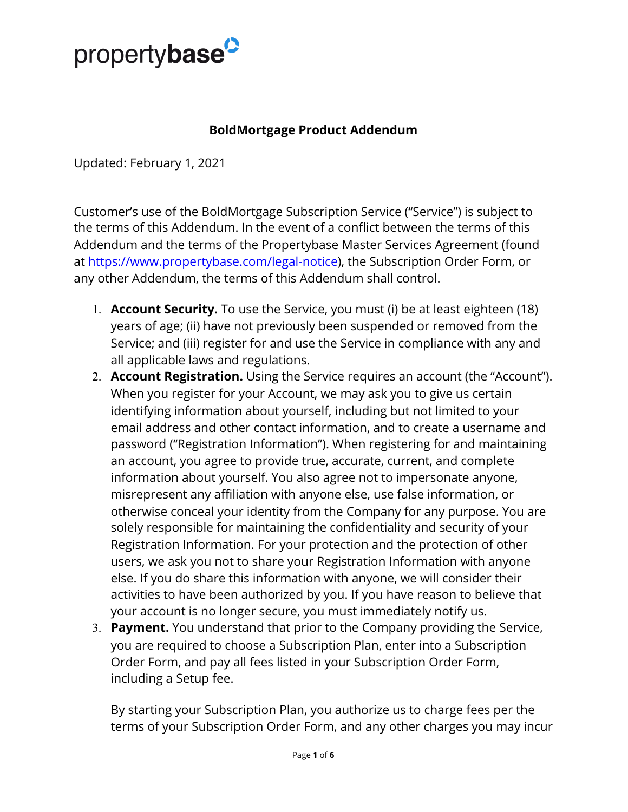

## **BoldMortgage Product Addendum**

Updated: February 1, 2021

Customer's use of the BoldMortgage Subscription Service ("Service") is subject to the terms of this Addendum. In the event of a conflict between the terms of this Addendum and the terms of the Propertybase Master Services Agreement (found at<https://www.propertybase.com/legal-notice>), the Subscription Order Form, or any other Addendum, the terms of this Addendum shall control.

- 1. **Account Security.** To use the Service, you must (i) be at least eighteen (18) years of age; (ii) have not previously been suspended or removed from the Service; and (iii) register for and use the Service in compliance with any and all applicable laws and regulations.
- 2. **Account Registration.** Using the Service requires an account (the "Account"). When you register for your Account, we may ask you to give us certain identifying information about yourself, including but not limited to your email address and other contact information, and to create a username and password ("Registration Information"). When registering for and maintaining an account, you agree to provide true, accurate, current, and complete information about yourself. You also agree not to impersonate anyone, misrepresent any affiliation with anyone else, use false information, or otherwise conceal your identity from the Company for any purpose. You are solely responsible for maintaining the confidentiality and security of your Registration Information. For your protection and the protection of other users, we ask you not to share your Registration Information with anyone else. If you do share this information with anyone, we will consider their activities to have been authorized by you. If you have reason to believe that your account is no longer secure, you must immediately notify us.
- 3. **Payment.**  You understand that prior to the Company providing the Service, you are required to choose a Subscription Plan, enter into a Subscription Order Form, and pay all fees listed in your Subscription Order Form, including a Setup fee.

By starting your Subscription Plan, you authorize us to charge fees per the terms of your Subscription Order Form, and any other charges you may incur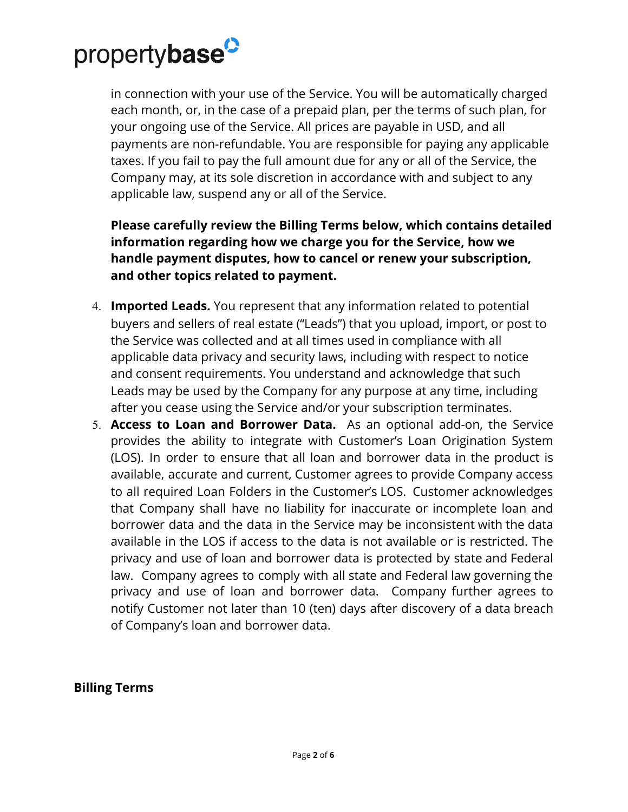

in connection with your use of the Service. You will be automatically charged each month, or, in the case of a prepaid plan, per the terms of such plan, for your ongoing use of the Service. All prices are payable in USD, and all payments are non-refundable. You are responsible for paying any applicable taxes. If you fail to pay the full amount due for any or all of the Service, the Company may, at its sole discretion in accordance with and subject to any applicable law, suspend any or all of the Service.

**Please carefully review the Billing Terms below, which contains detailed information regarding how we charge you for the Service, how we handle payment disputes, how to cancel or renew your subscription, and other topics related to payment.**

- 4. **Imported Leads.** You represent that any information related to potential buyers and sellers of real estate ("Leads") that you upload, import, or post to the Service was collected and at all times used in compliance with all applicable data privacy and security laws, including with respect to notice and consent requirements. You understand and acknowledge that such Leads may be used by the Company for any purpose at any time, including after you cease using the Service and/or your subscription terminates.
- 5. **Access to Loan and Borrower Data.** As an optional add-on, the Service provides the ability to integrate with Customer's Loan Origination System (LOS). In order to ensure that all loan and borrower data in the product is available, accurate and current, Customer agrees to provide Company access to all required Loan Folders in the Customer's LOS. Customer acknowledges that Company shall have no liability for inaccurate or incomplete loan and borrower data and the data in the Service may be inconsistent with the data available in the LOS if access to the data is not available or is restricted. The privacy and use of loan and borrower data is protected by state and Federal law. Company agrees to comply with all state and Federal law governing the privacy and use of loan and borrower data. Company further agrees to notify Customer not later than 10 (ten) days after discovery of a data breach of Company's loan and borrower data.

## **Billing Terms**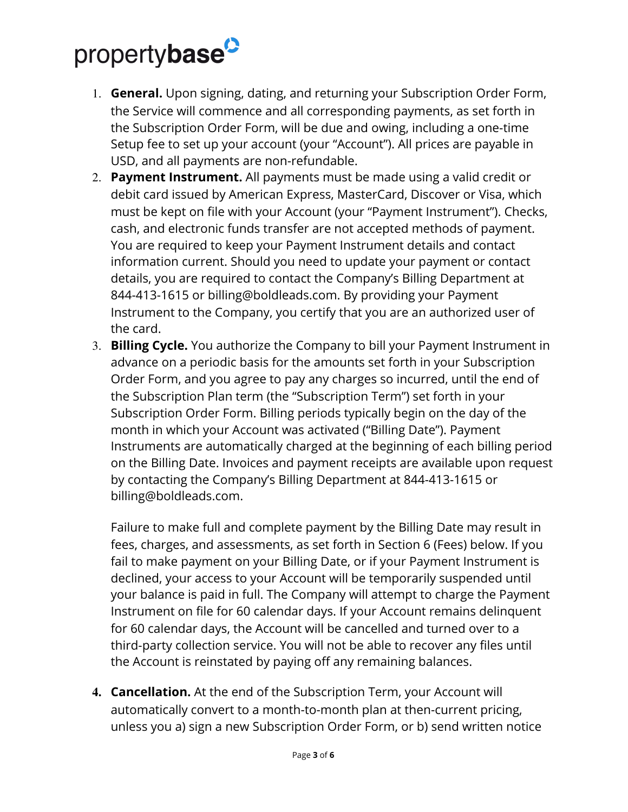## propertybase<sup>2</sup>

- 1. **General.** Upon signing, dating, and returning your Subscription Order Form, the Service will commence and all corresponding payments, as set forth in the Subscription Order Form, will be due and owing, including a one-time Setup fee to set up your account (your "Account"). All prices are payable in USD, and all payments are non-refundable.
- 2. **Payment Instrument.** All payments must be made using a valid credit or debit card issued by American Express, MasterCard, Discover or Visa, which must be kept on file with your Account (your "Payment Instrument"). Checks, cash, and electronic funds transfer are not accepted methods of payment. You are required to keep your Payment Instrument details and contact information current. Should you need to update your payment or contact details, you are required to contact the Company's Billing Department at 844-413-1615 or billing@boldleads.com. By providing your Payment Instrument to the Company, you certify that you are an authorized user of the card.
- 3. **Billing Cycle.** You authorize the Company to bill your Payment Instrument in advance on a periodic basis for the amounts set forth in your Subscription Order Form, and you agree to pay any charges so incurred, until the end of the Subscription Plan term (the "Subscription Term") set forth in your Subscription Order Form. Billing periods typically begin on the day of the month in which your Account was activated ("Billing Date"). Payment Instruments are automatically charged at the beginning of each billing period on the Billing Date. Invoices and payment receipts are available upon request by contacting the Company's Billing Department at 844-413-1615 or billing@boldleads.com.

Failure to make full and complete payment by the Billing Date may result in fees, charges, and assessments, as set forth in Section 6 (Fees) below. If you fail to make payment on your Billing Date, or if your Payment Instrument is declined, your access to your Account will be temporarily suspended until your balance is paid in full. The Company will attempt to charge the Payment Instrument on file for 60 calendar days. If your Account remains delinquent for 60 calendar days, the Account will be cancelled and turned over to a third-party collection service. You will not be able to recover any files until the Account is reinstated by paying off any remaining balances.

**4. Cancellation.** At the end of the Subscription Term, your Account will automatically convert to a month-to-month plan at then-current pricing, unless you a) sign a new Subscription Order Form, or b) send written notice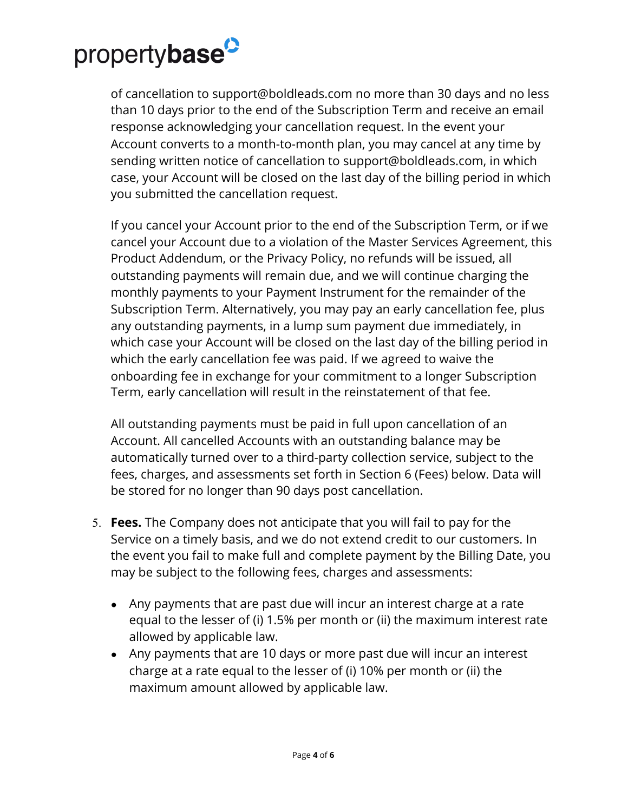

of cancellation to support@boldleads.com no more than 30 days and no less than 10 days prior to the end of the Subscription Term and receive an email response acknowledging your cancellation request. In the event your Account converts to a month-to-month plan, you may cancel at any time by sending written notice of cancellation to support@boldleads.com, in which case, your Account will be closed on the last day of the billing period in which you submitted the cancellation request.

If you cancel your Account prior to the end of the Subscription Term, or if we cancel your Account due to a violation of the Master Services Agreement, this Product Addendum, or the Privacy Policy, no refunds will be issued, all outstanding payments will remain due, and we will continue charging the monthly payments to your Payment Instrument for the remainder of the Subscription Term. Alternatively, you may pay an early cancellation fee, plus any outstanding payments, in a lump sum payment due immediately, in which case your Account will be closed on the last day of the billing period in which the early cancellation fee was paid. If we agreed to waive the onboarding fee in exchange for your commitment to a longer Subscription Term, early cancellation will result in the reinstatement of that fee.

All outstanding payments must be paid in full upon cancellation of an Account. All cancelled Accounts with an outstanding balance may be automatically turned over to a third-party collection service, subject to the fees, charges, and assessments set forth in Section 6 (Fees) below. Data will be stored for no longer than 90 days post cancellation.

- 5. **Fees.** The Company does not anticipate that you will fail to pay for the Service on a timely basis, and we do not extend credit to our customers. In the event you fail to make full and complete payment by the Billing Date, you may be subject to the following fees, charges and assessments:
	- Any payments that are past due will incur an interest charge at a rate equal to the lesser of (i) 1.5% per month or (ii) the maximum interest rate allowed by applicable law.
	- Any payments that are 10 days or more past due will incur an interest charge at a rate equal to the lesser of (i) 10% per month or (ii) the maximum amount allowed by applicable law.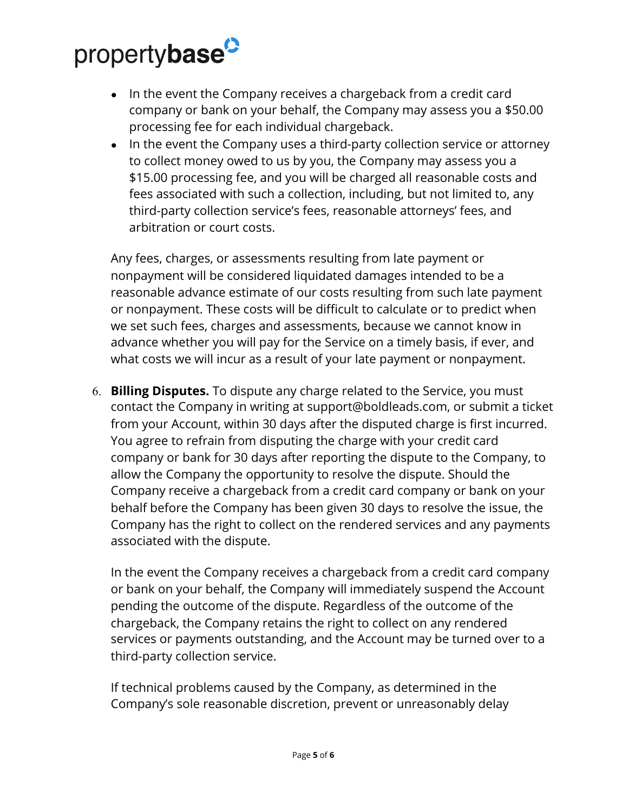## propertybase<sup>2</sup>

- In the event the Company receives a chargeback from a credit card company or bank on your behalf, the Company may assess you a \$50.00 processing fee for each individual chargeback.
- In the event the Company uses a third-party collection service or attorney to collect money owed to us by you, the Company may assess you a \$15.00 processing fee, and you will be charged all reasonable costs and fees associated with such a collection, including, but not limited to, any third-party collection service's fees, reasonable attorneys' fees, and arbitration or court costs.

Any fees, charges, or assessments resulting from late payment or nonpayment will be considered liquidated damages intended to be a reasonable advance estimate of our costs resulting from such late payment or nonpayment. These costs will be difficult to calculate or to predict when we set such fees, charges and assessments, because we cannot know in advance whether you will pay for the Service on a timely basis, if ever, and what costs we will incur as a result of your late payment or nonpayment.

6. **Billing Disputes.**  To dispute any charge related to the Service, you must contact the Company in writing at support@boldleads.com, or submit a ticket from your Account, within 30 days after the disputed charge is first incurred. You agree to refrain from disputing the charge with your credit card company or bank for 30 days after reporting the dispute to the Company, to allow the Company the opportunity to resolve the dispute. Should the Company receive a chargeback from a credit card company or bank on your behalf before the Company has been given 30 days to resolve the issue, the Company has the right to collect on the rendered services and any payments associated with the dispute.

In the event the Company receives a chargeback from a credit card company or bank on your behalf, the Company will immediately suspend the Account pending the outcome of the dispute. Regardless of the outcome of the chargeback, the Company retains the right to collect on any rendered services or payments outstanding, and the Account may be turned over to a third-party collection service.

If technical problems caused by the Company, as determined in the Company's sole reasonable discretion, prevent or unreasonably delay